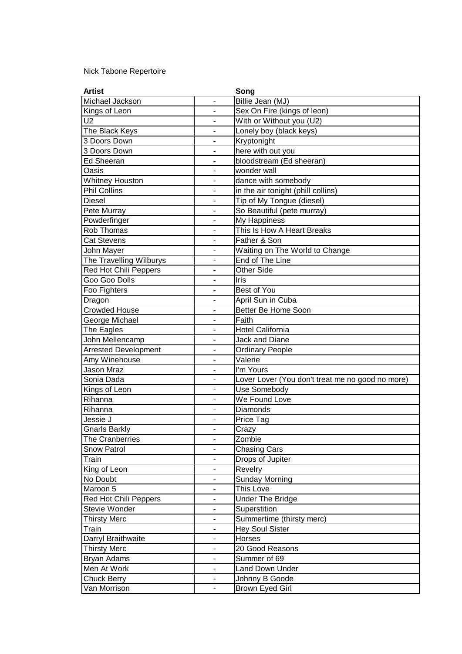## Nick Tabone Repertoire

| <b>Artist</b>               |                              | Song                                             |
|-----------------------------|------------------------------|--------------------------------------------------|
| Michael Jackson             | L,                           | Billie Jean (MJ)                                 |
| Kings of Leon               |                              | Sex On Fire (kings of leon)                      |
| $\overline{U2}$             | ÷,                           | With or Without you (U2)                         |
| The Black Keys              |                              | Lonely boy (black keys)                          |
| 3 Doors Down                | $\overline{\phantom{0}}$     | Kryptonight                                      |
| 3 Doors Down                | $\overline{\phantom{a}}$     | here with out you                                |
| <b>Ed Sheeran</b>           | $\overline{\phantom{a}}$     | bloodstream (Ed sheeran)                         |
| Oasis                       |                              | wonder wall                                      |
| Whitney Houston             |                              | dance with somebody                              |
| <b>Phil Collins</b>         | ä,                           | in the air tonight (phill collins)               |
| <b>Diesel</b>               | ÷,                           | Tip of My Tongue (diesel)                        |
| Pete Murray                 | $\overline{\phantom{a}}$     | So Beautiful (pete murray)                       |
| Powderfinger                | $\blacksquare$               | My Happiness                                     |
| Rob Thomas                  | $\overline{\phantom{a}}$     | This Is How A Heart Breaks                       |
| <b>Cat Stevens</b>          | ÷,                           | Father & Son                                     |
| John Mayer                  | $\overline{\phantom{a}}$     | Waiting on The World to Change                   |
| The Travelling Wilburys     | ÷,                           | <b>End of The Line</b>                           |
| Red Hot Chili Peppers       | ÷,                           | <b>Other Side</b>                                |
| Goo Goo Dolls               |                              | Iris                                             |
| Foo Fighters                | $\qquad \qquad \blacksquare$ | Best of You                                      |
| Dragon                      | $\overline{\phantom{a}}$     | April Sun in Cuba                                |
| <b>Crowded House</b>        | ÷,                           | Better Be Home Soon                              |
| George Michael              | $\overline{\phantom{a}}$     | Faith                                            |
| The Eagles                  |                              | Hotel California                                 |
| John Mellencamp             | $\blacksquare$               | <b>Jack and Diane</b>                            |
| <b>Arrested Development</b> |                              | <b>Ordinary People</b>                           |
| Amy Winehouse               | $\overline{\phantom{a}}$     | $\overline{\text{V}}$ alerie                     |
| Jason Mraz                  | ÷,                           | I'm Yours                                        |
| Sonia Dada                  | ÷,                           | Lover Lover (You don't treat me no good no more) |
| Kings of Leon               |                              | Use Somebody                                     |
| Rihanna                     | $\overline{\phantom{a}}$     | We Found Love                                    |
| Rihanna                     | ä,                           | <b>Diamonds</b>                                  |
| Jessie J                    | ä,                           | Price Tag                                        |
| Gnarls Barkly               |                              | Crazy                                            |
| The Cranberries             | ۰                            | Zombie                                           |
| <b>Snow Patrol</b>          | $\qquad \qquad \blacksquare$ | <b>Chasing Cars</b>                              |
| Train                       | ÷,                           | Drops of Jupiter                                 |
| King of Leon                | $\overline{\phantom{0}}$     | Revelry                                          |
| No Doubt                    |                              | <b>Sunday Morning</b>                            |
| Maroon 5                    |                              | This Love                                        |
| Red Hot Chili Peppers       |                              | <b>Under The Bridge</b>                          |
| Stevie Wonder               | -                            | Superstition                                     |
| <b>Thirsty Merc</b>         | $\overline{\phantom{a}}$     | Summertime (thirsty merc)                        |
| Train                       | $\blacksquare$               | Hey Soul Sister                                  |
| Darryl Braithwaite          |                              | Horses                                           |
| <b>Thirsty Merc</b>         | $\overline{\phantom{m}}$     | 20 Good Reasons                                  |
| Bryan Adams                 | $\overline{\phantom{a}}$     | Summer of 69                                     |
| Men At Work                 | $\overline{a}$               | <b>Land Down Under</b>                           |
| Chuck Berry                 | ۰                            | Johnny B Goode                                   |
| Van Morrison                | $\blacksquare$               | Brown Eyed Girl                                  |
|                             |                              |                                                  |